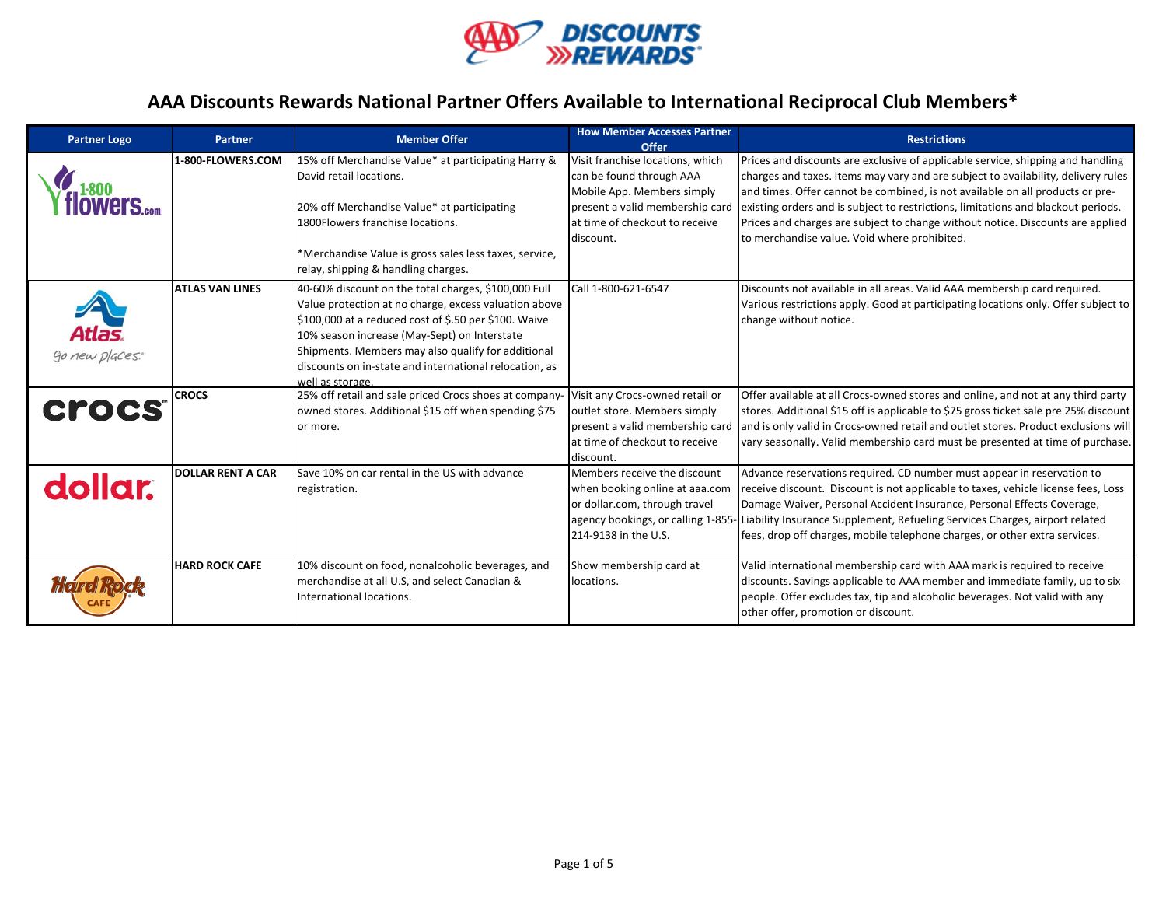

| <b>Partner Logo</b> | <b>Partner</b>           | <b>Member Offer</b>                                                                                                                                                                                                                                                                                                                                         | <b>How Member Accesses Partner</b><br>Offer                                                                                                                                  | <b>Restrictions</b>                                                                                                                                                                                                                                                                                                                                                                                                                                                          |
|---------------------|--------------------------|-------------------------------------------------------------------------------------------------------------------------------------------------------------------------------------------------------------------------------------------------------------------------------------------------------------------------------------------------------------|------------------------------------------------------------------------------------------------------------------------------------------------------------------------------|------------------------------------------------------------------------------------------------------------------------------------------------------------------------------------------------------------------------------------------------------------------------------------------------------------------------------------------------------------------------------------------------------------------------------------------------------------------------------|
| f1800               | 1-800-FLOWERS.COM        | 15% off Merchandise Value* at participating Harry &<br>David retail locations.<br>20% off Merchandise Value* at participating<br>1800 Flowers franchise locations.<br>*Merchandise Value is gross sales less taxes, service,<br>relay, shipping & handling charges.                                                                                         | Visit franchise locations, which<br>can be found through AAA<br>Mobile App. Members simply<br>present a valid membership card<br>at time of checkout to receive<br>discount. | Prices and discounts are exclusive of applicable service, shipping and handling<br>charges and taxes. Items may vary and are subject to availability, delivery rules<br>and times. Offer cannot be combined, is not available on all products or pre-<br>existing orders and is subject to restrictions, limitations and blackout periods.<br>Prices and charges are subject to change without notice. Discounts are applied<br>to merchandise value. Void where prohibited. |
| go new places.      | <b>ATLAS VAN LINES</b>   | 40-60% discount on the total charges, \$100,000 Full<br>Value protection at no charge, excess valuation above<br>$$100,000$ at a reduced cost of \$.50 per \$100. Waive<br>10% season increase (May-Sept) on Interstate<br>Shipments. Members may also qualify for additional<br>discounts on in-state and international relocation, as<br>well as storage. | Call 1-800-621-6547                                                                                                                                                          | Discounts not available in all areas. Valid AAA membership card required.<br>Various restrictions apply. Good at participating locations only. Offer subject to<br>change without notice.                                                                                                                                                                                                                                                                                    |
| <b>Crocs</b>        | <b>CROCS</b>             | 25% off retail and sale priced Crocs shoes at company-<br>owned stores. Additional \$15 off when spending \$75<br>or more.                                                                                                                                                                                                                                  | Visit any Crocs-owned retail or<br>outlet store. Members simply<br>present a valid membership card<br>at time of checkout to receive<br>discount.                            | Offer available at all Crocs-owned stores and online, and not at any third party<br>stores. Additional \$15 off is applicable to \$75 gross ticket sale pre 25% discount<br>and is only valid in Crocs-owned retail and outlet stores. Product exclusions will<br>vary seasonally. Valid membership card must be presented at time of purchase.                                                                                                                              |
| dollar.             | <b>DOLLAR RENT A CAR</b> | Save 10% on car rental in the US with advance<br>registration.                                                                                                                                                                                                                                                                                              | Members receive the discount<br>when booking online at aaa.com<br>or dollar.com, through travel<br>214-9138 in the U.S.                                                      | Advance reservations required. CD number must appear in reservation to<br>receive discount. Discount is not applicable to taxes, vehicle license fees, Loss<br>Damage Waiver, Personal Accident Insurance, Personal Effects Coverage,<br>agency bookings, or calling 1-855- Liability Insurance Supplement, Refueling Services Charges, airport related<br>fees, drop off charges, mobile telephone charges, or other extra services.                                        |
|                     | <b>HARD ROCK CAFE</b>    | 10% discount on food, nonalcoholic beverages, and<br>merchandise at all U.S, and select Canadian &<br>International locations.                                                                                                                                                                                                                              | Show membership card at<br>locations.                                                                                                                                        | Valid international membership card with AAA mark is required to receive<br>discounts. Savings applicable to AAA member and immediate family, up to six<br>people. Offer excludes tax, tip and alcoholic beverages. Not valid with any<br>other offer, promotion or discount.                                                                                                                                                                                                |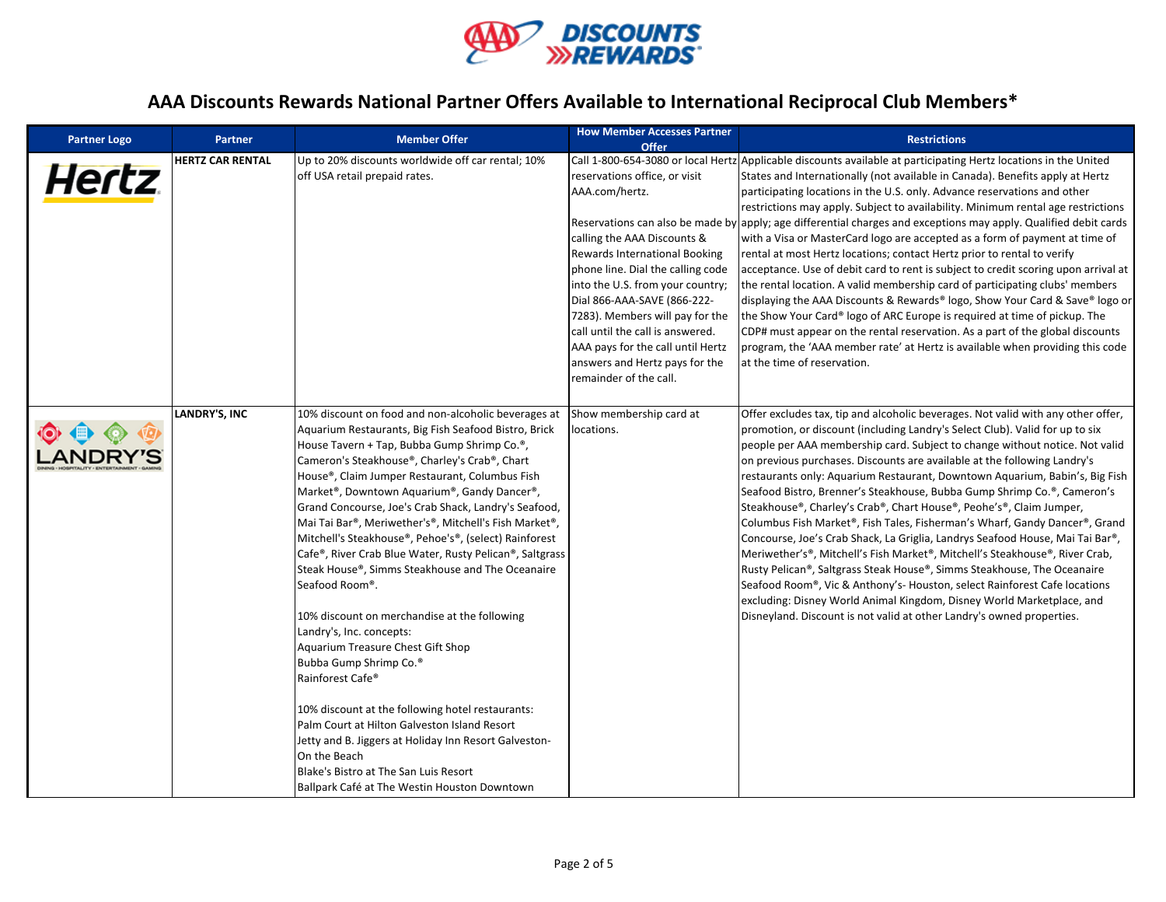

| <b>Partner Logo</b> | Partner                 | <b>Member Offer</b>                                                                                                                                                                                                                                                                                                                                                                                                                                                                                                                                                                                                                                                                                                                                                                                                                                                                                                                                                                                                                                                                               | <b>How Member Accesses Partner</b><br>Offer                                                                                                                                                                                                                                                                                                                                                     | <b>Restrictions</b>                                                                                                                                                                                                                                                                                                                                                                                                                                                                                                                                                                                                                                                                                                                                                                                                                                                                                                                                                                                                                                                                                                                                                                 |
|---------------------|-------------------------|---------------------------------------------------------------------------------------------------------------------------------------------------------------------------------------------------------------------------------------------------------------------------------------------------------------------------------------------------------------------------------------------------------------------------------------------------------------------------------------------------------------------------------------------------------------------------------------------------------------------------------------------------------------------------------------------------------------------------------------------------------------------------------------------------------------------------------------------------------------------------------------------------------------------------------------------------------------------------------------------------------------------------------------------------------------------------------------------------|-------------------------------------------------------------------------------------------------------------------------------------------------------------------------------------------------------------------------------------------------------------------------------------------------------------------------------------------------------------------------------------------------|-------------------------------------------------------------------------------------------------------------------------------------------------------------------------------------------------------------------------------------------------------------------------------------------------------------------------------------------------------------------------------------------------------------------------------------------------------------------------------------------------------------------------------------------------------------------------------------------------------------------------------------------------------------------------------------------------------------------------------------------------------------------------------------------------------------------------------------------------------------------------------------------------------------------------------------------------------------------------------------------------------------------------------------------------------------------------------------------------------------------------------------------------------------------------------------|
| <b>Hertz</b>        | <b>HERTZ CAR RENTAL</b> | Up to 20% discounts worldwide off car rental; 10%<br>off USA retail prepaid rates.                                                                                                                                                                                                                                                                                                                                                                                                                                                                                                                                                                                                                                                                                                                                                                                                                                                                                                                                                                                                                | reservations office, or visit<br>AAA.com/hertz.<br>calling the AAA Discounts &<br>Rewards International Booking<br>phone line. Dial the calling code<br>into the U.S. from your country;<br>Dial 866-AAA-SAVE (866-222-<br>7283). Members will pay for the<br>call until the call is answered.<br>AAA pays for the call until Hertz<br>answers and Hertz pays for the<br>remainder of the call. | Call 1-800-654-3080 or local Hertz Applicable discounts available at participating Hertz locations in the United<br>States and Internationally (not available in Canada). Benefits apply at Hertz<br>participating locations in the U.S. only. Advance reservations and other<br>restrictions may apply. Subject to availability. Minimum rental age restrictions<br>Reservations can also be made by apply; age differential charges and exceptions may apply. Qualified debit cards<br>with a Visa or MasterCard logo are accepted as a form of payment at time of<br>rental at most Hertz locations; contact Hertz prior to rental to verify<br>acceptance. Use of debit card to rent is subject to credit scoring upon arrival at<br>the rental location. A valid membership card of participating clubs' members<br>displaying the AAA Discounts & Rewards® logo, Show Your Card & Save® logo or<br>the Show Your Card® logo of ARC Europe is required at time of pickup. The<br>CDP# must appear on the rental reservation. As a part of the global discounts<br>program, the 'AAA member rate' at Hertz is available when providing this code<br>at the time of reservation. |
|                     | LANDRY'S, INC           | 10% discount on food and non-alcoholic beverages at<br>Aquarium Restaurants, Big Fish Seafood Bistro, Brick<br>House Tavern + Tap, Bubba Gump Shrimp Co. <sup>®</sup> ,<br>Cameron's Steakhouse®, Charley's Crab®, Chart<br>House®, Claim Jumper Restaurant, Columbus Fish<br>Market®, Downtown Aquarium®, Gandy Dancer®,<br>Grand Concourse, Joe's Crab Shack, Landry's Seafood,<br>Mai Tai Bar®, Meriwether's®, Mitchell's Fish Market®,<br>Mitchell's Steakhouse®, Pehoe's®, (select) Rainforest<br>Cafe®, River Crab Blue Water, Rusty Pelican®, Saltgrass<br>Steak House®, Simms Steakhouse and The Oceanaire<br>Seafood Room®.<br>10% discount on merchandise at the following<br>Landry's, Inc. concepts:<br>Aquarium Treasure Chest Gift Shop<br>Bubba Gump Shrimp Co. <sup>®</sup><br>Rainforest Cafe <sup>®</sup><br>10% discount at the following hotel restaurants:<br>Palm Court at Hilton Galveston Island Resort<br>Jetty and B. Jiggers at Holiday Inn Resort Galveston-<br>On the Beach<br>Blake's Bistro at The San Luis Resort<br>Ballpark Café at The Westin Houston Downtown | Show membership card at<br>locations.                                                                                                                                                                                                                                                                                                                                                           | Offer excludes tax, tip and alcoholic beverages. Not valid with any other offer,<br>promotion, or discount (including Landry's Select Club). Valid for up to six<br>people per AAA membership card. Subject to change without notice. Not valid<br>on previous purchases. Discounts are available at the following Landry's<br>restaurants only: Aquarium Restaurant, Downtown Aquarium, Babin's, Big Fish<br>Seafood Bistro, Brenner's Steakhouse, Bubba Gump Shrimp Co.®, Cameron's<br>Steakhouse®, Charley's Crab®, Chart House®, Peohe's®, Claim Jumper,<br>Columbus Fish Market®, Fish Tales, Fisherman's Wharf, Gandy Dancer®, Grand<br>Concourse, Joe's Crab Shack, La Griglia, Landrys Seafood House, Mai Tai Bar®,<br>Meriwether's®, Mitchell's Fish Market®, Mitchell's Steakhouse®, River Crab,<br>Rusty Pelican®, Saltgrass Steak House®, Simms Steakhouse, The Oceanaire<br>Seafood Room®, Vic & Anthony's- Houston, select Rainforest Cafe locations<br>excluding: Disney World Animal Kingdom, Disney World Marketplace, and<br>Disneyland. Discount is not valid at other Landry's owned properties.                                                                |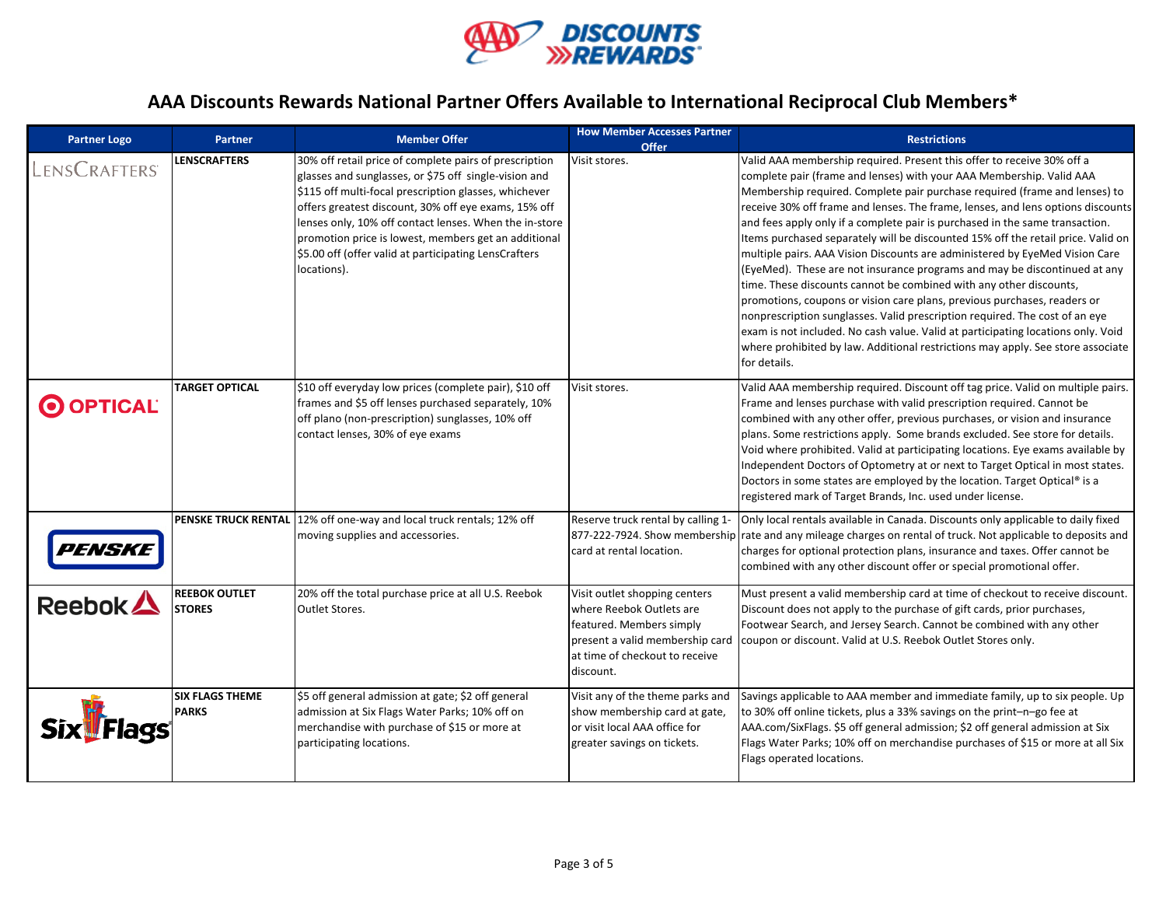

| <b>Partner Logo</b>  | <b>Partner</b>                         | <b>Member Offer</b>                                                                                                                                                                                                                                                                                                                                                                                                        | <b>How Member Accesses Partner</b><br><b>Offer</b>                                                                                   | <b>Restrictions</b>                                                                                                                                                                                                                                                                                                                                                                                                                                                                                                                                                                                                                                                                                                                                                                                                                                                                                                                                                                                                                                                     |
|----------------------|----------------------------------------|----------------------------------------------------------------------------------------------------------------------------------------------------------------------------------------------------------------------------------------------------------------------------------------------------------------------------------------------------------------------------------------------------------------------------|--------------------------------------------------------------------------------------------------------------------------------------|-------------------------------------------------------------------------------------------------------------------------------------------------------------------------------------------------------------------------------------------------------------------------------------------------------------------------------------------------------------------------------------------------------------------------------------------------------------------------------------------------------------------------------------------------------------------------------------------------------------------------------------------------------------------------------------------------------------------------------------------------------------------------------------------------------------------------------------------------------------------------------------------------------------------------------------------------------------------------------------------------------------------------------------------------------------------------|
| LENSCRAFTERS         | <b>LENSCRAFTERS</b>                    | 30% off retail price of complete pairs of prescription<br>glasses and sunglasses, or \$75 off single-vision and<br>\$115 off multi-focal prescription glasses, whichever<br>offers greatest discount, 30% off eye exams, 15% off<br>lenses only, 10% off contact lenses. When the in-store<br>promotion price is lowest, members get an additional<br>\$5.00 off (offer valid at participating LensCrafters<br>locations). | Visit stores.                                                                                                                        | Valid AAA membership required. Present this offer to receive 30% off a<br>complete pair (frame and lenses) with your AAA Membership. Valid AAA<br>Membership required. Complete pair purchase required (frame and lenses) to<br>receive 30% off frame and lenses. The frame, lenses, and lens options discounts<br>and fees apply only if a complete pair is purchased in the same transaction.<br>Items purchased separately will be discounted 15% off the retail price. Valid on<br>multiple pairs. AAA Vision Discounts are administered by EyeMed Vision Care<br>(EyeMed). These are not insurance programs and may be discontinued at any<br>time. These discounts cannot be combined with any other discounts,<br>promotions, coupons or vision care plans, previous purchases, readers or<br>nonprescription sunglasses. Valid prescription required. The cost of an eye<br>exam is not included. No cash value. Valid at participating locations only. Void<br>where prohibited by law. Additional restrictions may apply. See store associate<br>for details. |
| O OPTICAL            | <b>TARGET OPTICAL</b>                  | \$10 off everyday low prices (complete pair), \$10 off<br>frames and \$5 off lenses purchased separately, 10%<br>off plano (non-prescription) sunglasses, 10% off<br>contact lenses, 30% of eye exams                                                                                                                                                                                                                      | Visit stores.                                                                                                                        | Valid AAA membership required. Discount off tag price. Valid on multiple pairs.<br>Frame and lenses purchase with valid prescription required. Cannot be<br>combined with any other offer, previous purchases, or vision and insurance<br>plans. Some restrictions apply. Some brands excluded. See store for details.<br>Void where prohibited. Valid at participating locations. Eye exams available by<br>Independent Doctors of Optometry at or next to Target Optical in most states.<br>Doctors in some states are employed by the location. Target Optical® is a<br>registered mark of Target Brands, Inc. used under license.                                                                                                                                                                                                                                                                                                                                                                                                                                   |
| <i><b>PENSKE</b></i> |                                        | PENSKE TRUCK RENTAL 12% off one-way and local truck rentals; 12% off<br>moving supplies and accessories.                                                                                                                                                                                                                                                                                                                   | Reserve truck rental by calling 1-<br>card at rental location.                                                                       | Only local rentals available in Canada. Discounts only applicable to daily fixed<br>877-222-7924. Show membership rate and any mileage charges on rental of truck. Not applicable to deposits and<br>charges for optional protection plans, insurance and taxes. Offer cannot be<br>combined with any other discount offer or special promotional offer.                                                                                                                                                                                                                                                                                                                                                                                                                                                                                                                                                                                                                                                                                                                |
| Reebok $\triangle$   | <b>REEBOK OUTLET</b><br><b>STORES</b>  | 20% off the total purchase price at all U.S. Reebok<br><b>Outlet Stores.</b>                                                                                                                                                                                                                                                                                                                                               | Visit outlet shopping centers<br>where Reebok Outlets are<br>featured. Members simply<br>at time of checkout to receive<br>discount. | Must present a valid membership card at time of checkout to receive discount.<br>Discount does not apply to the purchase of gift cards, prior purchases,<br>Footwear Search, and Jersey Search. Cannot be combined with any other<br>present a valid membership card   coupon or discount. Valid at U.S. Reebok Outlet Stores only.                                                                                                                                                                                                                                                                                                                                                                                                                                                                                                                                                                                                                                                                                                                                     |
| <b>!Flags</b>        | <b>SIX FLAGS THEME</b><br><b>PARKS</b> | \$5 off general admission at gate; \$2 off general<br>admission at Six Flags Water Parks; 10% off on<br>merchandise with purchase of \$15 or more at<br>participating locations.                                                                                                                                                                                                                                           | Visit any of the theme parks and<br>show membership card at gate,<br>or visit local AAA office for<br>greater savings on tickets.    | Savings applicable to AAA member and immediate family, up to six people. Up<br>to 30% off online tickets, plus a 33% savings on the print-n-go fee at<br>AAA.com/SixFlags. \$5 off general admission; \$2 off general admission at Six<br>Flags Water Parks; 10% off on merchandise purchases of \$15 or more at all Six<br>Flags operated locations.                                                                                                                                                                                                                                                                                                                                                                                                                                                                                                                                                                                                                                                                                                                   |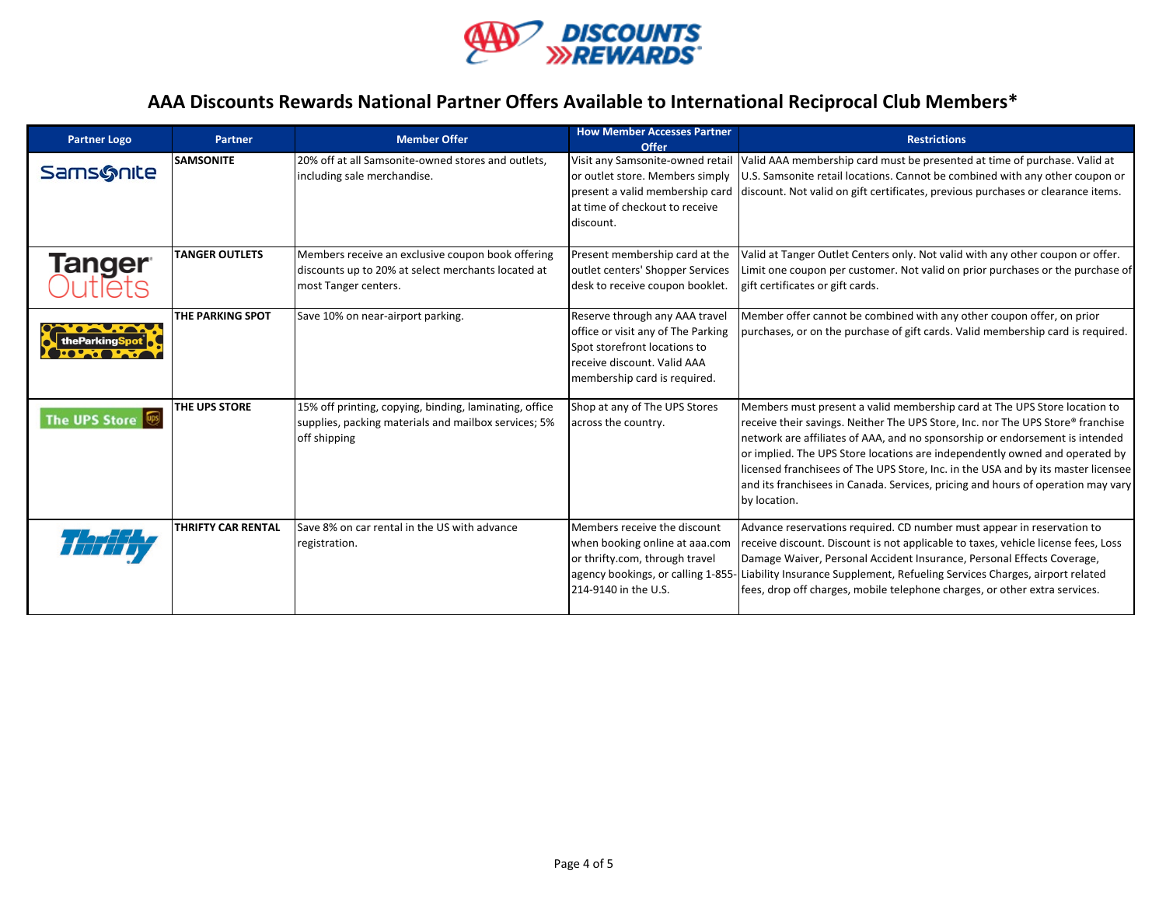

| <b>Partner Logo</b>      | <b>Partner</b>            | <b>Member Offer</b>                                                                                                             | <b>How Member Accesses Partner</b><br>Offer                                                                                                                         | <b>Restrictions</b>                                                                                                                                                                                                                                                                                                                                                                                                                                                                                                  |
|--------------------------|---------------------------|---------------------------------------------------------------------------------------------------------------------------------|---------------------------------------------------------------------------------------------------------------------------------------------------------------------|----------------------------------------------------------------------------------------------------------------------------------------------------------------------------------------------------------------------------------------------------------------------------------------------------------------------------------------------------------------------------------------------------------------------------------------------------------------------------------------------------------------------|
| <b>Sams&amp;nite</b>     | <b>SAMSONITE</b>          | 20% off at all Samsonite-owned stores and outlets,<br>including sale merchandise.                                               | at time of checkout to receive<br>discount.                                                                                                                         | Visit any Samsonite-owned retail Valid AAA membership card must be presented at time of purchase. Valid at<br>or outlet store. Members simply   U.S. Samsonite retail locations. Cannot be combined with any other coupon or<br>present a valid membership card discount. Not valid on gift certificates, previous purchases or clearance items.                                                                                                                                                                     |
| <b>Tanger</b><br>Outlets | <b>TANGER OUTLETS</b>     | Members receive an exclusive coupon book offering<br>discounts up to 20% at select merchants located at<br>most Tanger centers. | Present membership card at the<br>outlet centers' Shopper Services<br>desk to receive coupon booklet.                                                               | Valid at Tanger Outlet Centers only. Not valid with any other coupon or offer.<br>Limit one coupon per customer. Not valid on prior purchases or the purchase of<br>gift certificates or gift cards.                                                                                                                                                                                                                                                                                                                 |
|                          | THE PARKING SPOT          | Save 10% on near-airport parking.                                                                                               | Reserve through any AAA travel<br>office or visit any of The Parking<br>Spot storefront locations to<br>receive discount. Valid AAA<br>membership card is required. | Member offer cannot be combined with any other coupon offer, on prior<br>purchases, or on the purchase of gift cards. Valid membership card is required.                                                                                                                                                                                                                                                                                                                                                             |
| <b>The UPS Store</b>     | THE UPS STORE             | 15% off printing, copying, binding, laminating, office<br>supplies, packing materials and mailbox services; 5%<br>off shipping  | Shop at any of The UPS Stores<br>across the country.                                                                                                                | Members must present a valid membership card at The UPS Store location to<br>receive their savings. Neither The UPS Store, Inc. nor The UPS Store® franchise<br>network are affiliates of AAA, and no sponsorship or endorsement is intended<br>or implied. The UPS Store locations are independently owned and operated by<br>licensed franchisees of The UPS Store, Inc. in the USA and by its master licensee<br>and its franchisees in Canada. Services, pricing and hours of operation may vary<br>by location. |
|                          | <b>THRIFTY CAR RENTAL</b> | Save 8% on car rental in the US with advance<br>registration.                                                                   | Members receive the discount<br>when booking online at aaa.com<br>or thrifty.com, through travel<br>214-9140 in the U.S.                                            | Advance reservations required. CD number must appear in reservation to<br>receive discount. Discount is not applicable to taxes, vehicle license fees, Loss<br>Damage Waiver, Personal Accident Insurance, Personal Effects Coverage,<br>agency bookings, or calling 1-855- Liability Insurance Supplement, Refueling Services Charges, airport related<br>fees, drop off charges, mobile telephone charges, or other extra services.                                                                                |